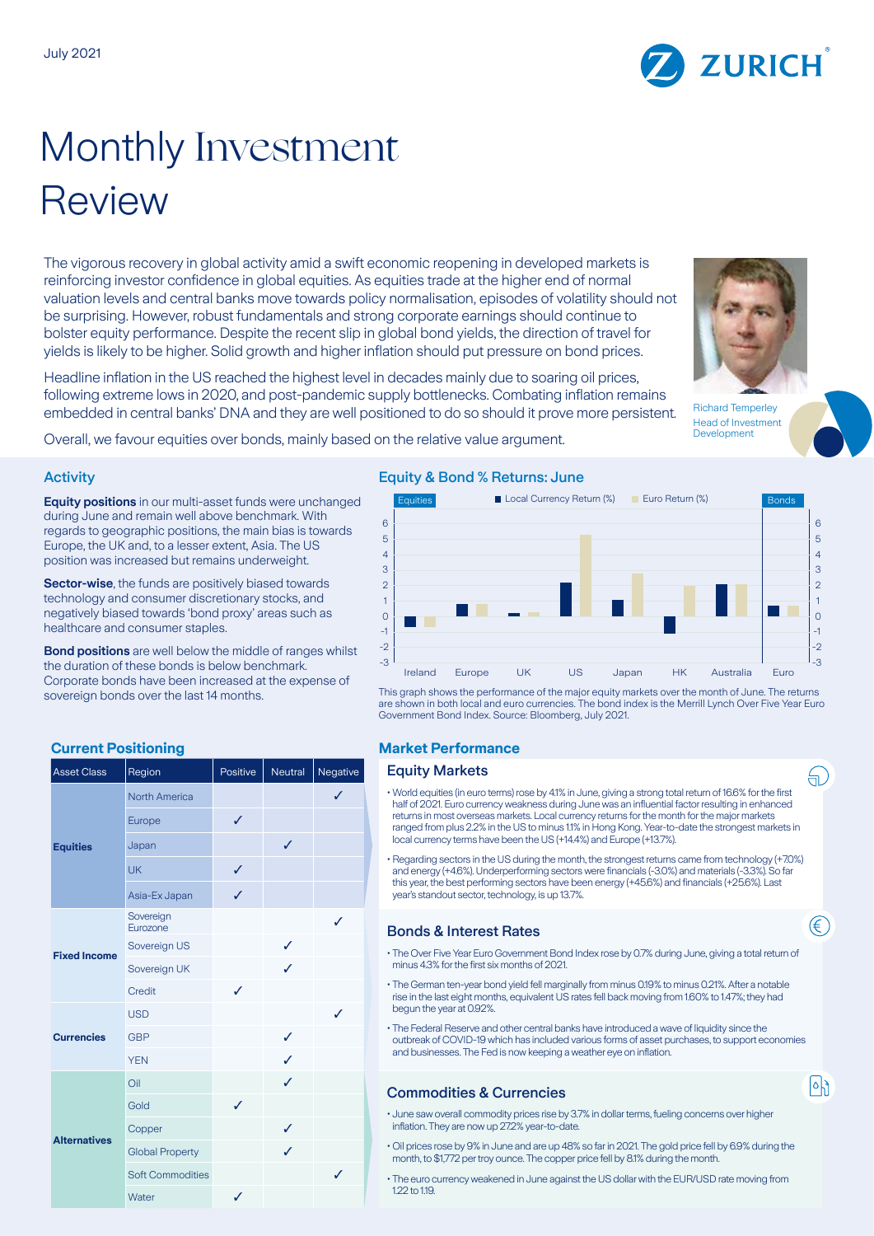

The vigorous recovery in global activity amid a swift economic reopening in developed markets is reinforcing investor confidence in global equities. As equities trade at the higher end of normal valuation levels and central banks move towards policy normalisation, episodes of volatility should not be surprising. However, robust fundamentals and strong corporate earnings should continue to bolster equity performance. Despite the recent slip in global bond yields, the direction of travel for yields is likely to be higher. Solid growth and higher inflation should put pressure on bond prices.

Headline inflation in the US reached the highest level in decades mainly due to soaring oil prices, following extreme lows in 2020, and post-pandemic supply bottlenecks. Combating inflation remains embedded in central banks' DNA and they are well positioned to do so should it prove more persistent.

Richard Temperley

Overall, we favour equities over bonds, mainly based on the relative value argument.

### Activity

**Equity positions** in our multi-asset funds were unchanged during June and remain well above benchmark. With regards to geographic positions, the main bias is towards Europe, the UK and, to a lesser extent, Asia. The US position was increased but remains underweight.

**Sector-wise**, the funds are positively biased towards technology and consumer discretionary stocks, and negatively biased towards 'bond proxy' areas such as healthcare and consumer staples.

**Bond positions** are well below the middle of ranges whilst the duration of these bonds is below benchmark. Corporate bonds have been increased at the expense of sovereign bonds over the last 14 months.

| <b>Asset Class</b>  | Region                  | Positive     | Neutral | Negative |
|---------------------|-------------------------|--------------|---------|----------|
| <b>Equities</b>     | <b>North America</b>    |              |         | ✓        |
|                     | Europe                  | ✓            |         |          |
|                     | Japan                   |              | ✓       |          |
|                     | <b>UK</b>               | ✓            |         |          |
|                     | Asia-Ex Japan           | ✓            |         |          |
| <b>Fixed Income</b> | Sovereign<br>Eurozone   |              |         | J        |
|                     | Sovereign US            |              | ✓       |          |
|                     | Sovereign UK            |              | J       |          |
|                     | Credit                  | ✓            |         |          |
| <b>Currencies</b>   | <b>USD</b>              |              |         | ✓        |
|                     | <b>GBP</b>              |              | ✓       |          |
|                     | <b>YEN</b>              |              | ✓       |          |
| <b>Alternatives</b> | Oil                     |              | ✓       |          |
|                     | Gold                    | $\checkmark$ |         |          |
|                     | Copper                  |              | ✓       |          |
|                     | <b>Global Property</b>  |              | ✓       |          |
|                     | <b>Soft Commodities</b> |              |         | J        |
|                     | Water                   | ✓            |         |          |

#### Equity & Bond % Returns: June



This graph shows the performance of the major equity markets over the month of June. The returns are shown in both local and euro currencies. The bond index is the Merrill Lynch Over Five Year Euro Government Bond Index. Source: Bloomberg, July 2021.

# **Current Positioning Current Positioning Current Performance**

## **Equity Markets**

- World equities (in euro terms) rose by 4.1% in June, giving a strong total return of 16.6% for the first half of 2021. Euro currency weakness during June was an influential factor resulting in enhanced returns in most overseas markets. Local currency returns for the month for the major markets ranged from plus 2.2% in the US to minus 1.1% in Hong Kong. Year-to-date the strongest markets in local currency terms have been the US (+14.4%) and Europe (+13.7%).
- Regarding sectors in the US during the month, the strongest returns came from technology (+7.0%) and energy (+4.6%). Underperforming sectors were financials (-3.0%) and materials (-3.3%). So far this year, the best performing sectors have been energy (+45.6%) and financials (+25.6%). Last year's standout sector, technology, is up 13.7%.

## Bonds & Interest Rates

- The Over Five Year Euro Government Bond Index rose by 0.7% during June, giving a total return of minus 4.3% for the first six months of 2021.
- The German ten-year bond yield fell marginally from minus 0.19% to minus 0.21%. After a notable rise in the last eight months, equivalent US rates fell back moving from 1.60% to 1.47%; they had begun the year at 0.92%.
- The Federal Reserve and other central banks have introduced a wave of liquidity since the outbreak of COVID-19 which has included various forms of asset purchases, to support economies and businesses. The Fed is now keeping a weather eye on inflation.

# Commodities & Currencies

- June saw overall commodity prices rise by 3.7% in dollar terms, fueling concerns over higher inflation. They are now up 27.2% year-to-date.
- Oil prices rose by 9% in June and are up 48% so far in 2021. The gold price fell by 6.9% during the month, to \$1,772 per troy ounce. The copper price fell by 8.1% during the month.
- The euro currency weakened in June against the US dollar with the EUR/USD rate moving from 1.22 to 1.19.





Head of Investment Development

句ブ

⋐

 $\lceil \circ \rceil$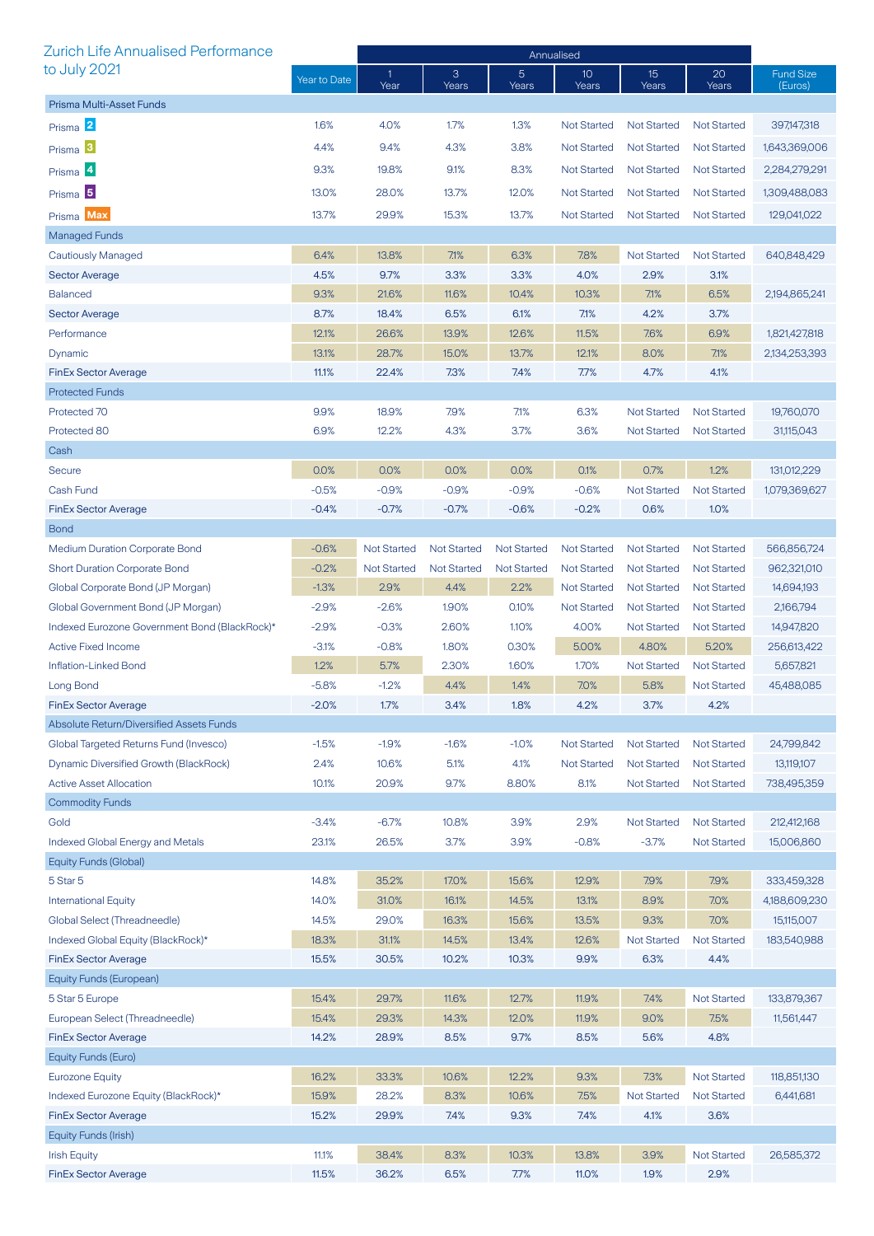| <b>Zurich Life Annualised Performance</b>     |              | Annualised           |                    |                         |                          |                    |                    |                             |
|-----------------------------------------------|--------------|----------------------|--------------------|-------------------------|--------------------------|--------------------|--------------------|-----------------------------|
| to July 2021                                  | Year to Date | $\mathbf{1}$<br>Year | 3<br>Years         | $\overline{5}$<br>Years | 10 <sup>°</sup><br>Years | 15<br>Years        | 20<br>Years        | <b>Fund Size</b><br>(Euros) |
| Prisma Multi-Asset Funds                      |              |                      |                    |                         |                          |                    |                    |                             |
| Prisma 2                                      | 1.6%         | 4.0%                 | 1.7%               | 1.3%                    | <b>Not Started</b>       | <b>Not Started</b> | <b>Not Started</b> | 397147.318                  |
| Prisma <sup>3</sup>                           | 4.4%         | 9.4%                 | 4.3%               | 3.8%                    | <b>Not Started</b>       | <b>Not Started</b> | <b>Not Started</b> | 1,643,369,006               |
| Prisma 4                                      | 9.3%         | 19.8%                | 9.1%               | 8.3%                    | <b>Not Started</b>       | <b>Not Started</b> | <b>Not Started</b> | 2,284,279,291               |
|                                               | 13.0%        |                      |                    |                         |                          |                    |                    | 1,309,488,083               |
| Prisma <sup>5</sup>                           |              | 28.0%                | 13.7%              | 12.0%                   | <b>Not Started</b>       | <b>Not Started</b> | <b>Not Started</b> |                             |
| Prisma Max                                    | 13.7%        | 29.9%                | 15.3%              | 13.7%                   | <b>Not Started</b>       | <b>Not Started</b> | <b>Not Started</b> | 129,041,022                 |
| Managed Funds                                 |              |                      |                    |                         |                          |                    |                    |                             |
| <b>Cautiously Managed</b>                     | 6.4%         | 13.8%                | 7.1%               | 6.3%                    | 7.8%                     | <b>Not Started</b> | <b>Not Started</b> | 640,848,429                 |
| <b>Sector Average</b>                         | 4.5%         | 9.7%                 | 3.3%               | 3.3%                    | 4.0%                     | 2.9%               | 3.1%               |                             |
| <b>Balanced</b>                               | 9.3%         | 21.6%                | 11.6%              | 10.4%                   | 10.3%                    | 7.1%               | 6.5%               | 2,194,865,241               |
| <b>Sector Average</b>                         | 8.7%         | 18.4%                | 6.5%               | 6.1%                    | 7.1%                     | 4.2%               | 3.7%               |                             |
| Performance                                   | 12.1%        | 26.6%                | 13.9%              | 12.6%                   | 11.5%                    | 7.6%               | 6.9%               | 1,821,427,818               |
| Dynamic                                       | 13.1%        | 28.7%                | 15.0%              | 13.7%                   | 12.1%                    | 8.0%               | 7.1%               | 2,134,253,393               |
| <b>FinEx Sector Average</b>                   | 11.1%        | 22.4%                | 7.3%               | 7.4%                    | 7.7%                     | 4.7%               | 4.1%               |                             |
| <b>Protected Funds</b>                        |              |                      |                    |                         |                          |                    |                    |                             |
| Protected 70                                  | 9.9%         | 18.9%                | 7.9%               | 7.1%                    | 6.3%                     | <b>Not Started</b> | <b>Not Started</b> | 19,760,070                  |
| Protected 80                                  | 6.9%         | 12.2%                | 4.3%               | 3.7%                    | 3.6%                     | <b>Not Started</b> | <b>Not Started</b> | 31,115,043                  |
| Cash                                          |              |                      |                    |                         |                          |                    |                    |                             |
| Secure                                        | 0.0%         | 0.0%                 | 0.0%               | 0.0%                    | 0.1%                     | 0.7%               | 1.2%               | 131,012,229                 |
| Cash Fund                                     | $-0.5%$      | $-0.9%$              | $-0.9%$            | $-0.9%$                 | $-0.6%$                  | <b>Not Started</b> | <b>Not Started</b> | 1,079,369,627               |
| <b>FinEx Sector Average</b>                   | $-0.4%$      | $-0.7%$              | $-0.7%$            | $-0.6%$                 | $-0.2%$                  | 0.6%               | 1.0%               |                             |
| <b>Bond</b>                                   |              |                      |                    |                         |                          |                    |                    |                             |
| <b>Medium Duration Corporate Bond</b>         | $-0.6%$      | <b>Not Started</b>   | <b>Not Started</b> | <b>Not Started</b>      | <b>Not Started</b>       | <b>Not Started</b> | <b>Not Started</b> | 566,856,724                 |
| <b>Short Duration Corporate Bond</b>          | $-0.2%$      | <b>Not Started</b>   | <b>Not Started</b> | <b>Not Started</b>      | <b>Not Started</b>       | <b>Not Started</b> | <b>Not Started</b> | 962,321,010                 |
| Global Corporate Bond (JP Morgan)             | $-1.3%$      | 2.9%                 | 4.4%               | 2.2%                    | <b>Not Started</b>       | <b>Not Started</b> | <b>Not Started</b> | 14,694,193                  |
| Global Government Bond (JP Morgan)            | $-2.9%$      | $-2.6%$              | 1.90%              | 0.10%                   | <b>Not Started</b>       | <b>Not Started</b> | <b>Not Started</b> | 2,166,794                   |
| Indexed Eurozone Government Bond (BlackRock)* | $-2.9%$      | $-0.3%$              | 2.60%              | 1.10%                   | 4.00%                    | <b>Not Started</b> | <b>Not Started</b> | 14,947,820                  |
| <b>Active Fixed Income</b>                    | $-3.1%$      | $-0.8%$              | 1.80%              | 0.30%                   | 5.00%                    | 4.80%              | 5.20%              | 256,613,422                 |
| Inflation-Linked Bond                         | 1.2%         | 5.7%                 | 2.30%              | 1.60%                   | 1.70%                    | <b>Not Started</b> | <b>Not Started</b> | 5,657,821                   |
| Long Bond                                     | $-5.8%$      | $-1.2%$              | 4.4%               | 1.4%                    | 7.0%                     | 5.8%               | <b>Not Started</b> | 45,488,085                  |
| FinEx Sector Average                          | $-2.0\%$     | 1.7%                 | $3.4\%$            | 1.8%                    | 4.2%                     | 3.7%               | 4.2%               |                             |
| Absolute Return/Diversified Assets Funds      |              |                      |                    |                         |                          |                    |                    |                             |
| Global Targeted Returns Fund (Invesco)        | $-1.5%$      | $-1.9%$              | $-1.6%$            | $-1.0%$                 | <b>Not Started</b>       | <b>Not Started</b> | <b>Not Started</b> | 24,799,842                  |
| Dynamic Diversified Growth (BlackRock)        | 2.4%         | 10.6%                | 5.1%               | 4.1%                    | <b>Not Started</b>       | <b>Not Started</b> | <b>Not Started</b> | 13,119,107                  |
| <b>Active Asset Allocation</b>                | 10.1%        | 20.9%                | 9.7%               | 8.80%                   | 8.1%                     | <b>Not Started</b> | <b>Not Started</b> | 738,495,359                 |
| <b>Commodity Funds</b>                        |              |                      |                    |                         |                          |                    |                    |                             |
| Gold                                          | $-3.4%$      | $-6.7%$              | 10.8%              | 3.9%                    | 2.9%                     | <b>Not Started</b> | <b>Not Started</b> | 212,412,168                 |
| <b>Indexed Global Energy and Metals</b>       | 23.1%        | 26.5%                | 3.7%               | 3.9%                    | $-0.8%$                  | $-3.7%$            | <b>Not Started</b> | 15,006,860                  |
| Equity Funds (Global)                         |              |                      |                    |                         |                          |                    |                    |                             |
| 5 Star 5                                      | 14.8%        | 35.2%                | 17.0%              | 15.6%                   | 12.9%                    | 7.9%               | 7.9%               | 333,459,328                 |
| <b>International Equity</b>                   | 14.0%        | 31.0%                | 16.1%              | 14.5%                   | 13.1%                    | 8.9%               | 7.0%               | 4,188,609,230               |
| Global Select (Threadneedle)                  | 14.5%        | 29.0%                | 16.3%              | 15.6%                   | 13.5%                    | 9.3%               | 7.0%               | 15,115,007                  |
| Indexed Global Equity (BlackRock)*            | 18.3%        | 31.1%                | 14.5%              | 13.4%                   | 12.6%                    | <b>Not Started</b> | <b>Not Started</b> | 183,540,988                 |
| <b>FinEx Sector Average</b>                   | 15.5%        | 30.5%                | 10.2%              | 10.3%                   | 9.9%                     | 6.3%               | 4.4%               |                             |
| Equity Funds (European)                       |              |                      |                    |                         |                          |                    |                    |                             |
| 5 Star 5 Europe                               | 15.4%        | 29.7%                | 11.6%              | 12.7%                   | 11.9%                    | 7.4%               | <b>Not Started</b> | 133,879,367                 |
| European Select (Threadneedle)                | 15.4%        | 29.3%                | 14.3%              | 12.0%                   | 11.9%                    | 9.0%               | 7.5%               | 11,561,447                  |
| <b>FinEx Sector Average</b>                   | 14.2%        | 28.9%                | 8.5%               | 9.7%                    | 8.5%                     | 5.6%               | 4.8%               |                             |
| Equity Funds (Euro)                           |              |                      |                    |                         |                          |                    |                    |                             |
| <b>Eurozone Equity</b>                        | 16.2%        | 33.3%                | 10.6%              | 12.2%                   | 9.3%                     | 7.3%               | <b>Not Started</b> | 118,851,130                 |
| Indexed Eurozone Equity (BlackRock)*          | 15.9%        | 28.2%                | 8.3%               | 10.6%                   | 7.5%                     | <b>Not Started</b> | <b>Not Started</b> | 6,441,681                   |
| <b>FinEx Sector Average</b>                   | 15.2%        | 29.9%                | 7.4%               | 9.3%                    | 7.4%                     | 4.1%               | 3.6%               |                             |
| Equity Funds (Irish)                          |              |                      |                    |                         |                          |                    |                    |                             |
| <b>Irish Equity</b>                           | 11.1%        | 38.4%                | 8.3%               | 10.3%                   | 13.8%                    | 3.9%               | <b>Not Started</b> | 26,585,372                  |
| <b>FinEx Sector Average</b>                   | 11.5%        | 36.2%                | 6.5%               | 7.7%                    | 11.0%                    | 1.9%               | 2.9%               |                             |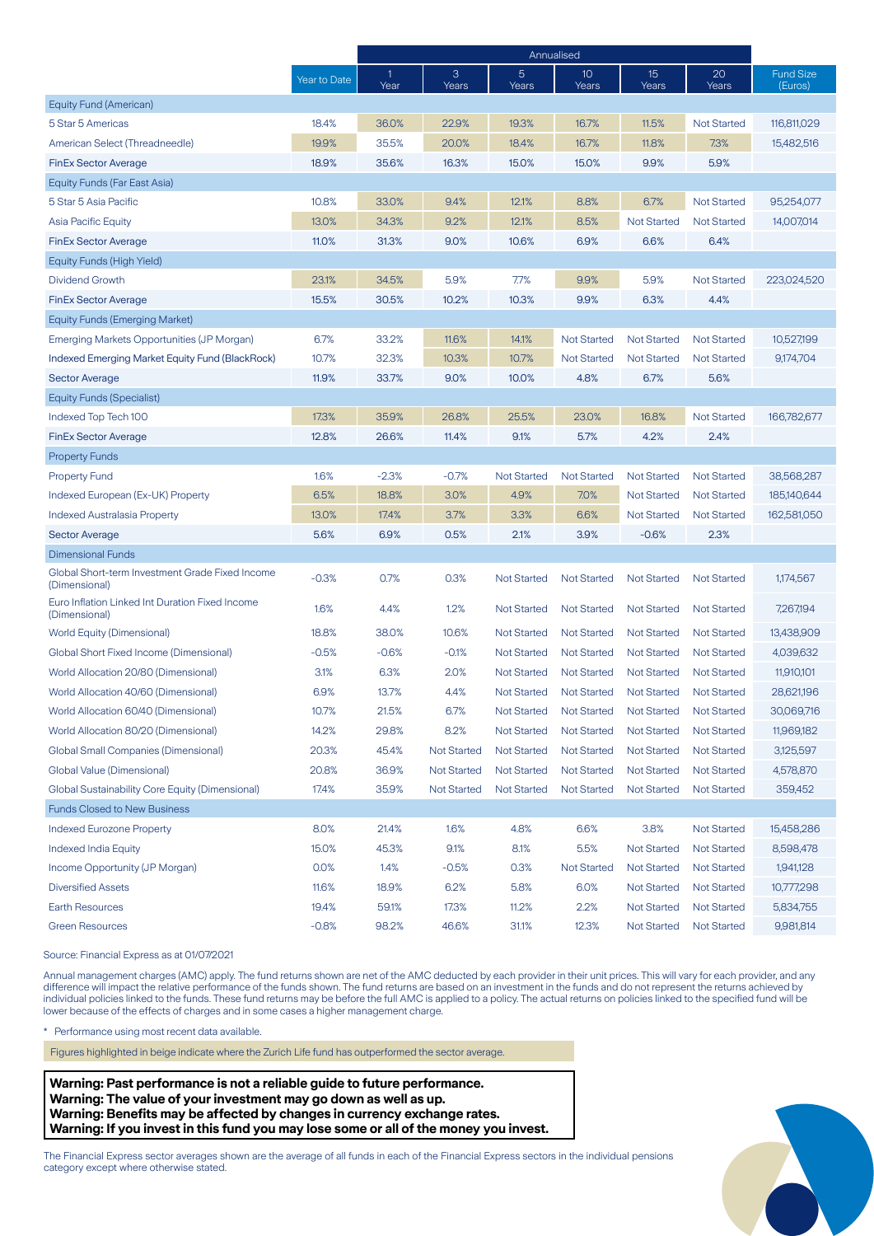|                                                                  |              | Annualised |                    |                         |                          |                    |                    |                             |
|------------------------------------------------------------------|--------------|------------|--------------------|-------------------------|--------------------------|--------------------|--------------------|-----------------------------|
|                                                                  | Year to Date | -1<br>Year | 3<br>Years         | $5\phantom{.}$<br>Years | 10 <sup>°</sup><br>Years | 15<br>Years        | 20<br>Years        | <b>Fund Size</b><br>(Euros) |
| Equity Fund (American)                                           |              |            |                    |                         |                          |                    |                    |                             |
| 5 Star 5 Americas                                                | 18.4%        | 36.0%      | 22.9%              | 19.3%                   | 16.7%                    | 11.5%              | <b>Not Started</b> | 116,811,029                 |
| American Select (Threadneedle)                                   | 19.9%        | 35.5%      | 20.0%              | 18.4%                   | 16.7%                    | 11.8%              | 7.3%               | 15,482,516                  |
| <b>FinEx Sector Average</b>                                      | 18.9%        | 35.6%      | 16.3%              | 15.0%                   | 15.0%                    | 9.9%               | 5.9%               |                             |
| Equity Funds (Far East Asia)                                     |              |            |                    |                         |                          |                    |                    |                             |
| 5 Star 5 Asia Pacific                                            | 10.8%        | 33.0%      | 9.4%               | 12.1%                   | 8.8%                     | 6.7%               | <b>Not Started</b> | 95,254,077                  |
| Asia Pacific Equity                                              | 13.0%        | 34.3%      | 9.2%               | 12.1%                   | 8.5%                     | <b>Not Started</b> | <b>Not Started</b> | 14,007,014                  |
| <b>FinEx Sector Average</b>                                      | 11.0%        | 31.3%      | 9.0%               | 10.6%                   | 6.9%                     | 6.6%               | 6.4%               |                             |
| Equity Funds (High Yield)                                        |              |            |                    |                         |                          |                    |                    |                             |
| Dividend Growth                                                  | 23.1%        | 34.5%      | 5.9%               | 7.7%                    | 9.9%                     | 5.9%               | <b>Not Started</b> | 223,024,520                 |
| <b>FinEx Sector Average</b>                                      | 15.5%        | 30.5%      | 10.2%              | 10.3%                   | 9.9%                     | 6.3%               | 4.4%               |                             |
| <b>Equity Funds (Emerging Market)</b>                            |              |            |                    |                         |                          |                    |                    |                             |
| Emerging Markets Opportunities (JP Morgan)                       | 6.7%         | 33.2%      | 11.6%              | 14.1%                   | <b>Not Started</b>       | <b>Not Started</b> | <b>Not Started</b> | 10,527,199                  |
| Indexed Emerging Market Equity Fund (BlackRock)                  | 10.7%        | 32.3%      | 10.3%              | 10.7%                   | <b>Not Started</b>       | <b>Not Started</b> | <b>Not Started</b> | 9,174,704                   |
| <b>Sector Average</b>                                            | 11.9%        | 33.7%      | 9.0%               | 10.0%                   | 4.8%                     | 6.7%               | 5.6%               |                             |
| Equity Funds (Specialist)                                        |              |            |                    |                         |                          |                    |                    |                             |
| Indexed Top Tech 100                                             | 17.3%        | 35.9%      | 26.8%              | 25.5%                   | 23.0%                    | 16.8%              | <b>Not Started</b> | 166,782,677                 |
| <b>FinEx Sector Average</b>                                      | 12.8%        | 26.6%      | 11.4%              | 9.1%                    | 5.7%                     | 4.2%               | 2.4%               |                             |
| <b>Property Funds</b>                                            |              |            |                    |                         |                          |                    |                    |                             |
| <b>Property Fund</b>                                             | 1.6%         | $-2.3%$    | $-0.7%$            | <b>Not Started</b>      | <b>Not Started</b>       | <b>Not Started</b> | <b>Not Started</b> | 38,568,287                  |
| Indexed European (Ex-UK) Property                                | 6.5%         | 18.8%      | 3.0%               | 4.9%                    | 7.0%                     | <b>Not Started</b> | <b>Not Started</b> | 185,140,644                 |
| <b>Indexed Australasia Property</b>                              | 13.0%        | 17.4%      | 3.7%               | 3.3%                    | 6.6%                     | <b>Not Started</b> | <b>Not Started</b> | 162,581,050                 |
| <b>Sector Average</b>                                            | 5.6%         | 6.9%       | 0.5%               | 2.1%                    | 3.9%                     | $-0.6%$            | 2.3%               |                             |
| <b>Dimensional Funds</b>                                         |              |            |                    |                         |                          |                    |                    |                             |
| Global Short-term Investment Grade Fixed Income<br>(Dimensional) | $-0.3%$      | 0.7%       | 0.3%               | <b>Not Started</b>      | <b>Not Started</b>       | <b>Not Started</b> | <b>Not Started</b> | 1,174,567                   |
| Euro Inflation Linked Int Duration Fixed Income<br>(Dimensional) | 1.6%         | 4.4%       | 1.2%               | <b>Not Started</b>      | <b>Not Started</b>       | <b>Not Started</b> | <b>Not Started</b> | 7,267,194                   |
| World Equity (Dimensional)                                       | 18.8%        | 38.0%      | 10.6%              | <b>Not Started</b>      | <b>Not Started</b>       | <b>Not Started</b> | <b>Not Started</b> | 13,438,909                  |
| Global Short Fixed Income (Dimensional)                          | $-0.5%$      | $-0.6%$    | $-0.1%$            | <b>Not Started</b>      | <b>Not Started</b>       | <b>Not Started</b> | <b>Not Started</b> | 4,039,632                   |
| World Allocation 20/80 (Dimensional)                             | 3.1%         | 6.3%       | 2.0%               | <b>Not Started</b>      | <b>Not Started</b>       | <b>Not Started</b> | <b>Not Started</b> | 11,910,101                  |
| World Allocation 40/60 (Dimensional)                             | 6.9%         | 13.7%      | 4.4%               | <b>Not Started</b>      | <b>Not Started</b>       | <b>Not Started</b> | <b>Not Started</b> | 28,621,196                  |
| World Allocation 60/40 (Dimensional)                             | 10.7%        | 21.5%      | 6.7%               | <b>Not Started</b>      | <b>Not Started</b>       | <b>Not Started</b> | <b>Not Started</b> | 30,069,716                  |
| World Allocation 80/20 (Dimensional)                             | 14.2%        | 29.8%      | 8.2%               | <b>Not Started</b>      | <b>Not Started</b>       | <b>Not Started</b> | <b>Not Started</b> | 11,969,182                  |
| <b>Global Small Companies (Dimensional)</b>                      | 20.3%        | 45.4%      | <b>Not Started</b> | <b>Not Started</b>      | Not Started              | <b>Not Started</b> | <b>Not Started</b> | 3,125,597                   |
| Global Value (Dimensional)                                       | 20.8%        | 36.9%      | <b>Not Started</b> | <b>Not Started</b>      | <b>Not Started</b>       | <b>Not Started</b> | <b>Not Started</b> | 4,578,870                   |
| Global Sustainability Core Equity (Dimensional)                  | 17.4%        | 35.9%      | <b>Not Started</b> | <b>Not Started</b>      | <b>Not Started</b>       | <b>Not Started</b> | <b>Not Started</b> | 359,452                     |
| <b>Funds Closed to New Business</b>                              |              |            |                    |                         |                          |                    |                    |                             |
| <b>Indexed Eurozone Property</b>                                 | 8.0%         | 21.4%      | 1.6%               | 4.8%                    | 6.6%                     | 3.8%               | <b>Not Started</b> | 15,458,286                  |
| Indexed India Equity                                             | 15.0%        | 45.3%      | 9.1%               | 8.1%                    | 5.5%                     | <b>Not Started</b> | <b>Not Started</b> | 8,598,478                   |
| Income Opportunity (JP Morgan)                                   | 0.0%         | 1.4%       | $-0.5%$            | 0.3%                    | <b>Not Started</b>       | <b>Not Started</b> | <b>Not Started</b> | 1,941,128                   |
| <b>Diversified Assets</b>                                        | 11.6%        | 18.9%      | 6.2%               | 5.8%                    | 6.0%                     | Not Started        | <b>Not Started</b> | 10,777,298                  |
| <b>Earth Resources</b>                                           | 19.4%        | 59.1%      | 17.3%              | 11.2%                   | 2.2%                     | <b>Not Started</b> | <b>Not Started</b> | 5,834,755                   |
| <b>Green Resources</b>                                           | $-0.8%$      | 98.2%      | 46.6%              | 31.1%                   | 12.3%                    | <b>Not Started</b> | <b>Not Started</b> | 9,981,814                   |

Source: Financial Express as at 01/07/2021

Annual management charges (AMC) apply. The fund returns shown are net of the AMC deducted by each provider in their unit prices. This will vary for each provider, and any difference will impact the relative performance of the funds shown. The fund returns are based on an investment in the funds and do not represent the returns achieved by individual policies linked to the funds. These fund returns may be before the full AMC is applied to a policy. The actual returns on policies linked to the specified fund will be lower because of the effects of charges and in some cases a higher management charge.

\* Performance using most recent data available.

Figures highlighted in beige indicate where the Zurich Life fund has outperformed the sector average.

**Warning: Past performance is not a reliable guide to future performance. Warning: The value of your investment may go down as well as up. Warning: Benefits may be affected by changes in currency exchange rates. Warning: If you invest in this fund you may lose some or all of the money you invest.**

The Financial Express sector averages shown are the average of all funds in each of the Financial Express sectors in the individual pensions category except where otherwise stated.